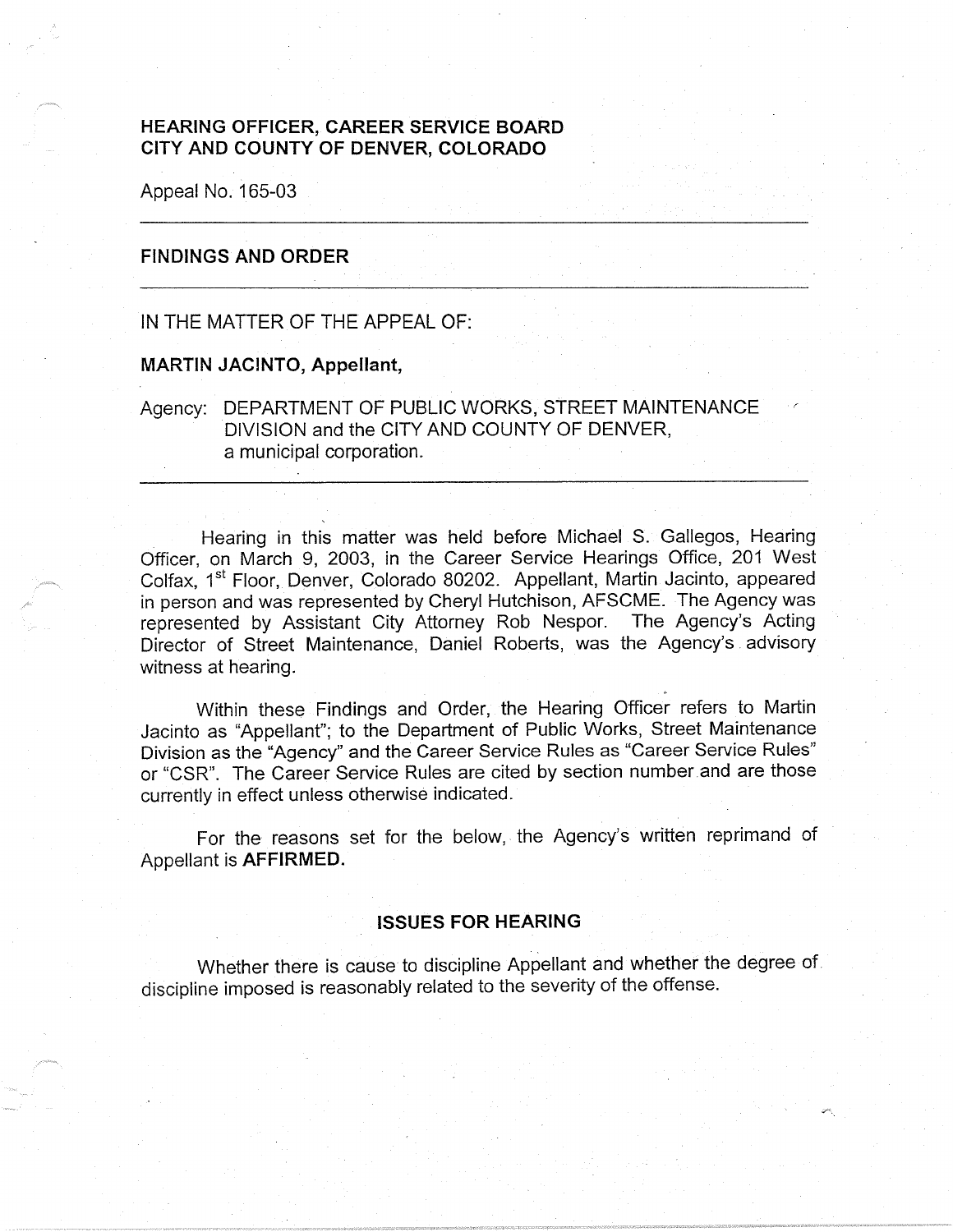# **HEARING OFFICER, CAREER SERVICE BOARD CITY AND COUNTY OF DENVER, COLORADO**

Appeal No. 165-03

# **FINDINGS AND ORDER**

#### IN THE MATTER OF THE APPEAL OF:

#### **MARTIN JACINTO, Appellant,**

Agency: DEPARTMENT OF PUBLIC WORKS, STREET MAINTENANCE DIVISION and the CITY AND COUNTY OF DENVER, a municipal corporation.

Hearing in this matter was held before Michael S. Gallegos, Hearing Officer, on March 9, 2003, in the Career Service Hearings Office, 201 West Colfax, 1<sup>st</sup> Floor, Denver, Colorado 80202. Appellant, Martin Jacinto, appeared in person and was represented by Cheryl Hutchison, AFSCME. The Agency was represented by Assistant City Attorney Rob Nespor. The Agency's Acting Director of Street Maintenance, Daniel Roberts, was the Agency's . advisory witness at hearing.

Within these Findings and Order, the Hearing Officer refers to Martin Jacinto as "Appellant"; to the Department of Public Works, Street Maintenance Division as the "Agency" and the Career Service Rules as "Career Service Rules" or "CSR". The Career Service Rules are cited by section number and are those currently in effect unless otherwise indicated.

For the reasons set for the below, the Agency's written reprimand of Appellant is **AFFIRMED.** 

#### **ISSUES FOR HEARING**

Whether there is cause to discipline Appellant and whether the degree of discipline imposed is reasonably related to the severity of the offense.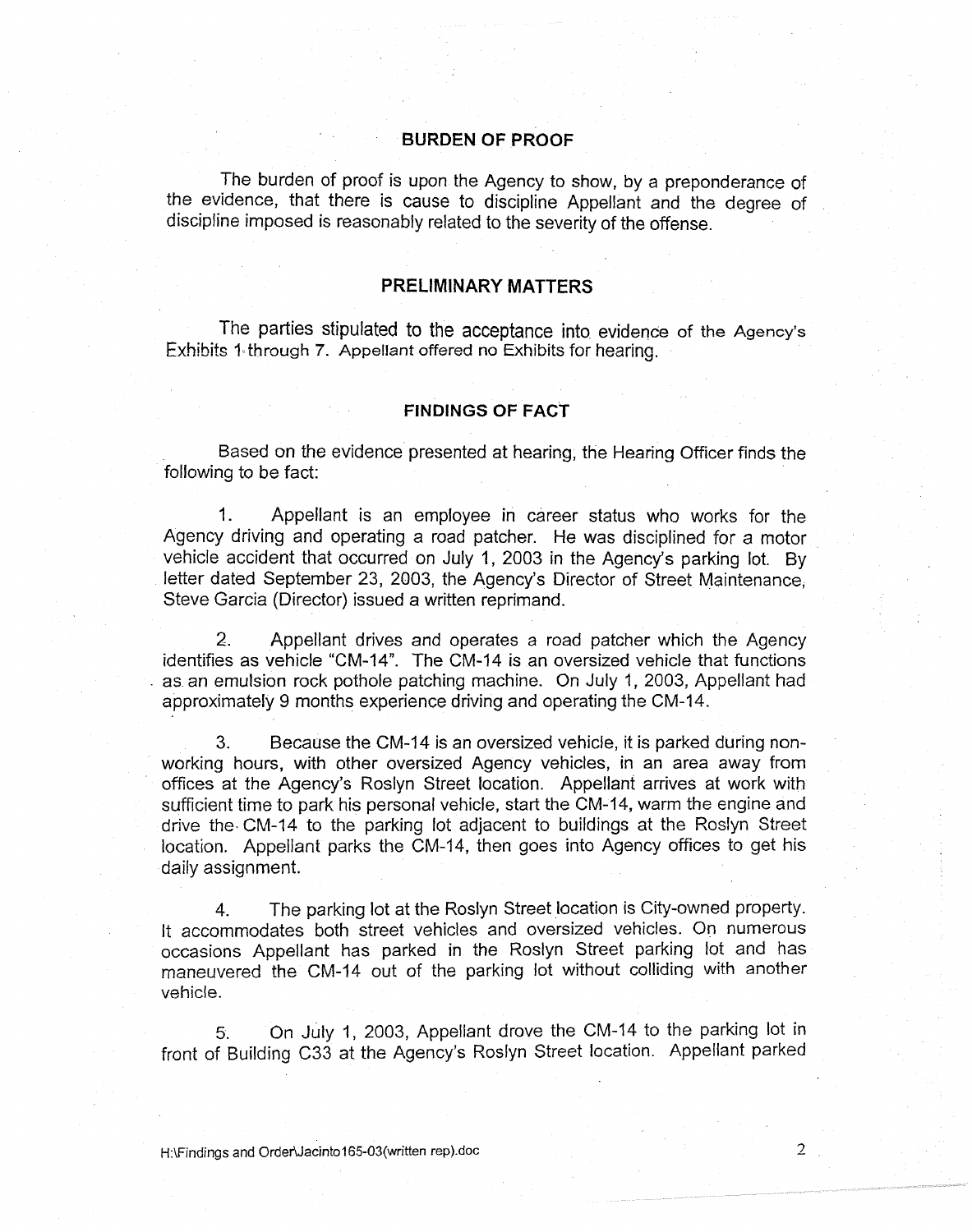## **BURDEN OF PROOF**

The burden of proof is upon the Agency to show, by a preponderance of the evidence, that there is cause to discipline Appellant and the degree of discipline imposed is reasonably related to the severity of the offense.

## **PRELIMINARY MATTERS**

The parties stipulated to the acceptance into. evidence of the Agency's Exhibits 1 through 7. Appellant offered no Exhibits for hearing.

#### **FINDINGS OF FACT**

Based on the evidence presented at hearing, the Hearing Officer finds the following to be fact:

1. Appellant is an employee in career status who works for the Agency driving and operating a road patcher. He was disciplined for a motor vehicle accident that occurred on July 1, 2003 in the Agency's parking lot. By letter dated September 23, 2003, the Agency's Director of Street Maintenance; Steve Garcia (Director) issued a written reprimand.

2. Appellant drives and operates a road patcher which the Agency identifies as vehicle "CM-14". The CM-14 is an oversized vehicle that functions . as an emulsion rock pothole patching machine. On July 1, 2003, Appellant had approximately 9 months experience driving and operating the CM-14.

3. Because the CM-14 is an oversized vehicle, it is parked during nonworking hours, with other oversized Agency vehicles, in an area away from offices at the Agency's Roslyn Street location. Appellant arrives at work with sufficient time to park his personal vehicle, start the CM-14, warm the engine and drive the• CM-14 to the parking lot adjacent to buildings at the Roslyn Street location. Appellant parks the CM-14, then goes into Agency offices to get his daily assignment.

4. The parking lot at the Roslyn Street location is City-owned property. It accommodates both street vehicles and oversized vehicles. On numerous occasions Appellant has parked in the Roslyn Street parking lot and has maneuvered the CM-14 out of the parking lot without colliding with another vehicle.

5. On July 1, 2003, Appellant drove the CM-14 to the parking lot in front of Building C33 at the Agency's Roslyn Street location. Appellant parked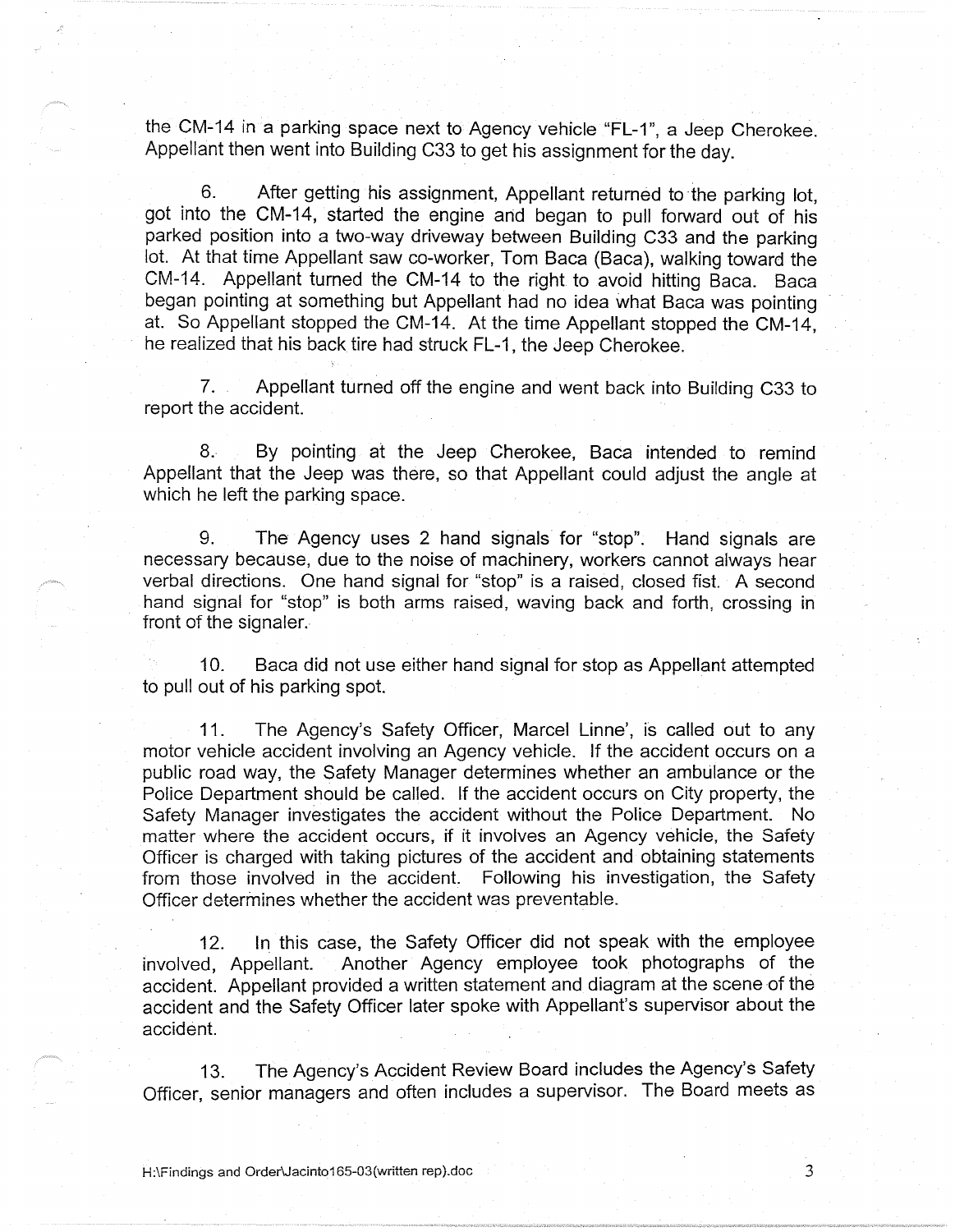the CM-14 in a parking space next to Agency vehicle "FL-1", a Jeep Cherokee. Appellant then went into Building C33 to get his assignment for the day.

6. After getting his assignment, Appellant returned to the parking lot, got into the CM-14, started the engine and began to pull forward out of his parked position into a two-way driveway between Building C33 and the parking lot. At that time Appellant saw co-worker, Tom Baca (Baca), walking toward the CM-14. Appellant turned the CM-14 to the right to avoid hitting Baca. Baca began pointing at something but Appellant had no idea what Baca was pointing at. So Appellant stopped the CM-14. At the time Appellant stopped the CM-14, he realized that his back tire had struck FL-1, the Jeep Cherokee.

7. Appellant turned off the engine and went back into Building C33 to report the accident.

8. By pointing at the Jeep Cherokee, Baca intended to remind Appellant that the Jeep was there, so that Appellant could adjust the angle at which he left the parking space.

9. The Agency uses 2 hand signals for "stop". Hand signals are necessary because, due to the noise of machinery, workers cannot always hear verbal directions. One hand signal for "stop" is a raised, closed fist. A second hand signal for "stop" is both arms raised, waving back and forth, crossing in front of the signaler.

10. Baca did not use either hand signal for stop as Appellant attempted to pull out of his parking spot.

11. The Agency's Safety Officer, Marcel Linne', is called out to any motor vehicle accident involving an Agency vehicle. If the accident occurs on a public road way, the Safety Manager determines whether an ambulance or the Police Department should be called. If the accident occurs on City property, the Safety Manager investigates the accident without the Police Department. No matter where the accident occurs, if it involves an Agency vehicle, the Safety Officer is charged with taking pictures of the accident and obtaining statements from those involved in the accident. Following his investigation, the Safety Officer determines whether the accident was preventable.

12. In this case, the Safety Officer did not speak with the employee involved, Appellant. Another Agency employee took photographs of the accident. Appellant provided a written statement and diagram at the scene of the accident and the Safety Officer later spoke with Appellant's supervisor about the accident.

13. The Agency's Accident Review Board includes the Agency's Safety Officer, senior managers and often includes a supervisor. The Board meets as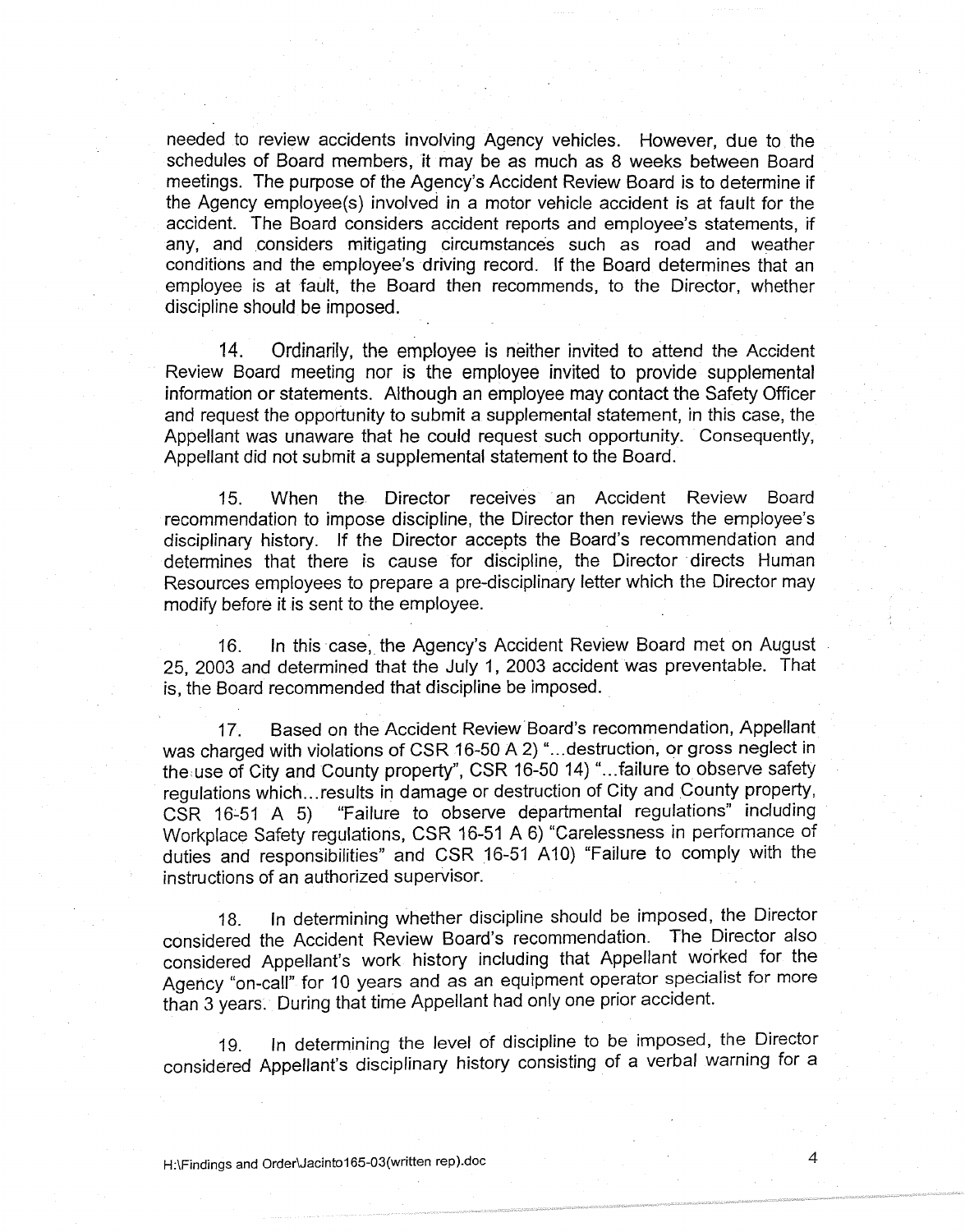needed to review accidents involving Agency vehicles. However, due to the schedules of Board members, it may be as much as 8 weeks between Board meetings. The purpose of the Agency's Accident Review Board is to determine if the Agency employee(s) involved in a motor vehicle accident is at fault for the accident. The Board considers accident reports and employee's statements, if any, and considers mitigating circumstances such as road and weather conditions and the employee's driving record. If the Board determines that an employee is at fault, the Board then recommends, to the Director, whether discipline should be imposed.

14. Ordinarily, the employee is neither invited to attend the Accident Review Board meeting nor is the employee invited to provide supplemental information or statements. Although an employee may contact the Safety Officer and request the opportunity to submit a supplemental statement, in this case, the Appellant was unaware that he could request such opportunity. Consequently, Appellant did not submit a supplemental statement *to* the Board.

15. When the Director receives an Accident Review Board recommendation to impose discipline, the Director then reviews the employee's disciplinary history. If the Director accepts the Board's recommendation and determines that there is cause for discipline, the Director directs Human Resources employees to prepare a pre-disciplinary letter which the Director may modify before it is sent *to* the employee.

16. In this case, the Agency's Accident Review Board met on August 25, 2003 and determined that the July 1, 2003 accident was preventable. That is, the Board recommended that discipline be imposed.

17. Based on the Accident Review Board's recommendation, Appellant was charged with violations of CSR 16-50 A 2) "... destruction, or gross neglect in the use of City and County property", CSR 16-50 14) "... failure to observe safety regulations which ... results in damage or destruction of City and County property, CSR 16-51 A 5) "Failure to observe departmental regulations" including Workplace Safety regulations, CSR 16-51 A 6) "Carelessness in performance of duties and responsibilities" and CSR 16-51 A10) "Failure to comply with the instructions of an authorized supervisor.

18. In determining whether discipline should be imposed, the Director considered the Accident Review Board's recommendation. The Director also considered Appellant's work history including that Appellant worked for the Agency "on-call" for 10 years and as an equipment operator specialist for more than 3 years. During that time Appellant had only one prior accident.

19. In determining the level of discipline to be imposed, the Director considered Appellant's disciplinary history consisting of a verbal warning for a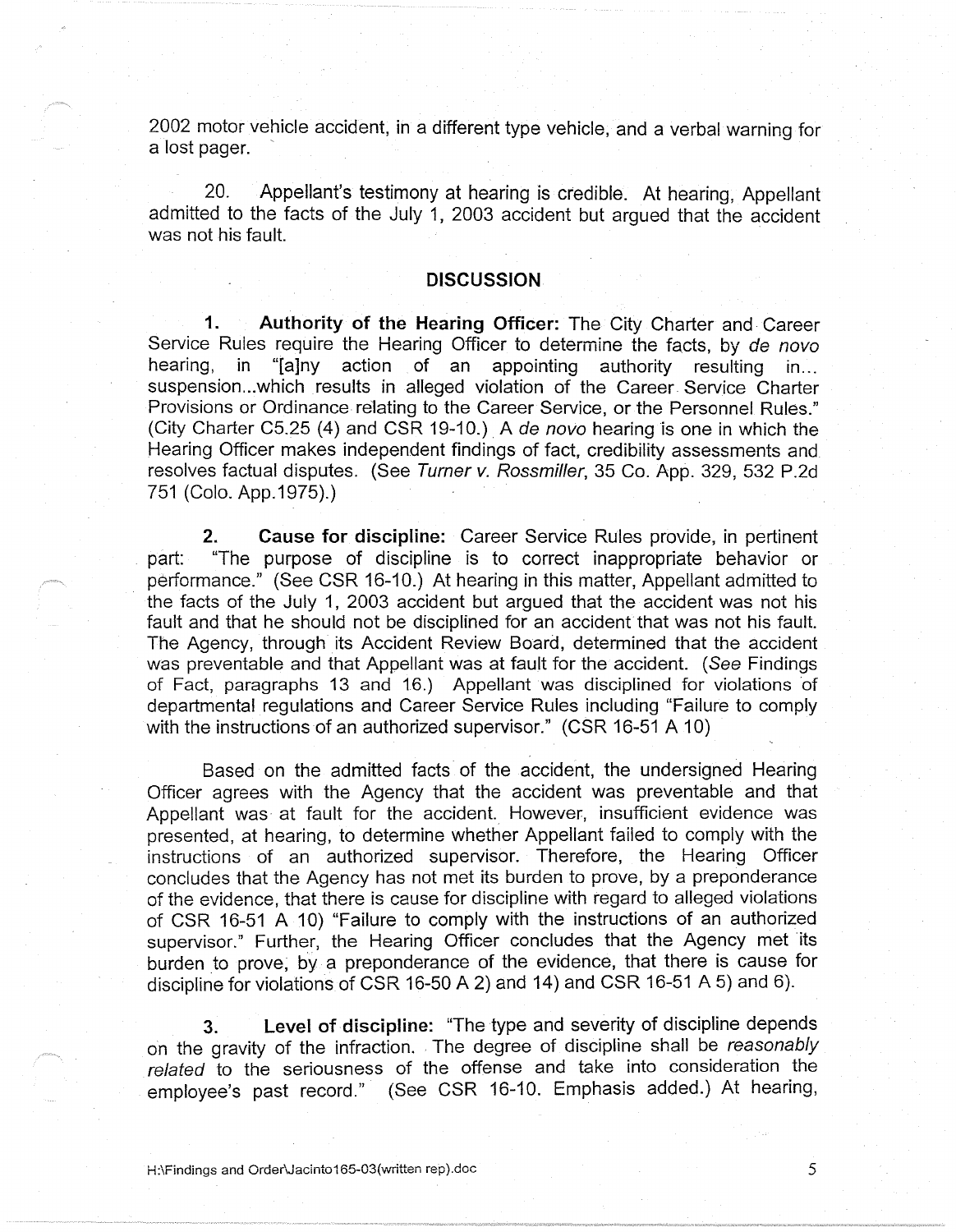2002 motor vehicle accident, in a different type vehicle, and a verbal warning for a lost pager.

20. Appellant's testimony at hearing is credible. At hearing, Appellant admitted to the facts of the July 1, 2003 accident but argued that the accident was not his fault.

## **DISCUSSION**

**1. Authority of the Hearing Officer:** The City Charter and. Career Service Rules require the Hearing Officer to determine the facts, by de novo hearing, in "[a]ny action of an appointing authority resulting in... suspension...which results in alleged violation of the Career Service Charter Provisions or Ordinance relating to the Career Service, or the Personnel Rules." (City Charter C5.25 (4) and CSR 19-10.). A de nova hearing is one in which the Hearing Officer makes independent findings of fact, credibility assessments and resolves factual disputes. (See Turner v. Rossmiller, 35 Co. App. 329, 532 P.2d 751 (Colo. App.1975).)

**2. Cause for discipline:** Career Service Rules provide, in pertinent part: "The purpose of discipline is to correct inappropriate behavior or performance." (See CSR 16-10.) At hearing in this matter, Appellant admitted to the facts of the July 1, 2003 accident but argued that the accident was not his fault and that he should not be disciplined for an accident that was not his fault. The Agency, through its Accident Review Board, determined that the accident was preventable and that Appellant was at fault for the accident. (See Findings of Fact, paragraphs 13 and 16.) Appellant was disciplined for violations of departmental regulations and Career Service Rules including "Failure to comply with the instructions of an authorized supervisor." (CSR 16-51 A 10)

Based on the admitted facts of the accident, the undersigned Hearing Officer agrees with the Agency that the accident was preventable and that Appellant was at fault for the accident. However, insufficient evidence was presented, at hearing, to determine whether Appellant failed to comply with the instructions of an authorized supervisor. Therefore, the Hearing Officer concludes that the Agency has not met its burden to prove, by a preponderance of the evidence, that there is cause for discipline with regard to alleged violations of CSR 16-51 A 10) "Failure to comply with the instructions of an authorized supervisor." Further, the Hearing Officer concludes that the Agency met its burden to prove, by a preponderance of the evidence, that there is cause for discipline for violations of CSR 16-50 A 2) and 14) and CSR 16-51 A 5) and 6).

**3. Level of discipline:** "The type and severity of discipline depends on the gravity of the infraction. The degree of discipline shall be reasonably related to the seriousness of the offense and take into consideration the employee's past record." (See CSR 16-10. Emphasis added.) At hearing,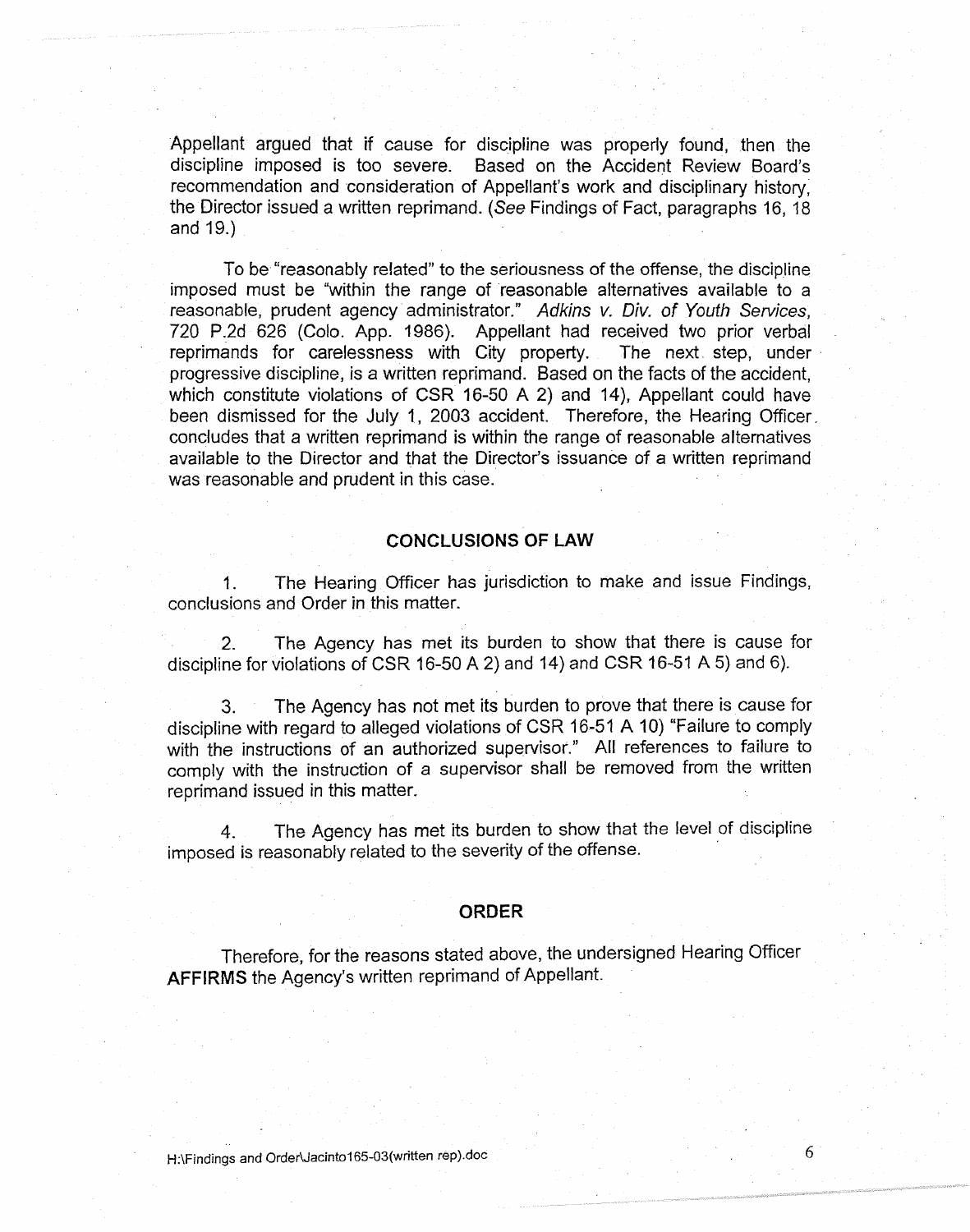Appellant argued that if cause for discipline was properly found, then the discipline imposed is too severe. Based on the Accident Review Board's recommendation and consideration of Appellant's work and disciplinary history. the Director issued a written reprimand. ( See Findings of Fact, paragraphs 16, 18 and 19.)

To be"reasonably related" to the seriousness of the offense, the discipline imposed must be "within the range of reasonable alternatives available to a reasonable, prudent agency administrator." Adkins v. Div. of Youth Services, 720 P.2d 626 (Colo. App. 1986). Appellant had received two prior verbal reprimands for carelessness with City property. The next\_ step, under progressive discipline, is a written reprimand. Based on the facts of the accident, which constitute violations of CSR 16-50 A 2) and 14), Appellant could have been dismissed for the July 1, 2003 accident. Therefore, the Hearing Officer. concludes that a written reprimand is within the range of reasonable alternatives available to the Director and that the Director's issuance of a written reprimand was reasonable and prudent in this case.

## **CONCLUSIONS OF LAW**

1. The Hearing Officer has jurisdiction to make and issue Findings, conclusions and Order in this matter.

2. The Agency has met its burden to show that there is cause for discipline for violations of CSR 16-50 A 2) and 14) and CSR 16-51 A 5) and 6).

3. The Agency has not met its burden to prove that there is cause for discipline with regard to alleged violations of CSR 16-51 A 10) "Failure to comply with the instructions of an authorized supervisor." All references to failure to comply with the instruction of a supervisor shall be removed from the written reprimand issued in this matter.

4. The Agency has met its burden to show that the level of discipline imposed is reasonably related to the severity of the offense.

#### **ORDER**

Therefore, for the reasons stated above, the undersigned Hearing Officer **AFFIRMS** the Agency's written reprimand of Appellant.